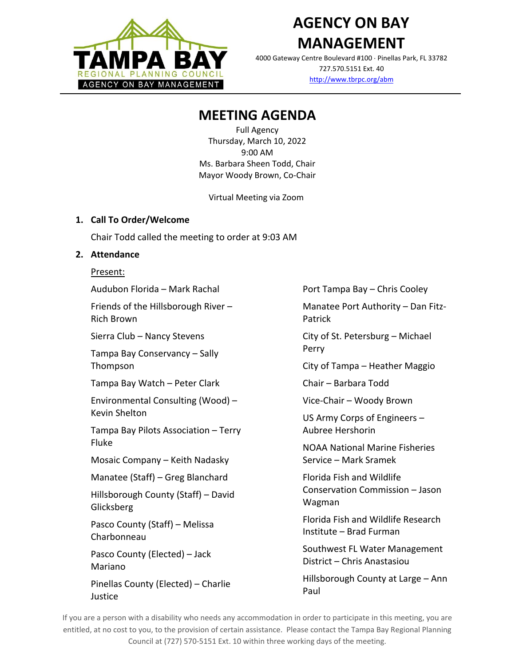

# **AGENCY ON BAY MANAGEMENT**

4000 Gateway Centre Boulevard #100 Pinellas Park, FL 33782 727.570.5151 Ext. 40 <http://www.tbrpc.org/abm>

# **MEETING AGENDA**

Full Agency Thursday, March 10, 2022 9:00 AM Ms. Barbara Sheen Todd, Chair Mayor Woody Brown, Co-Chair

Virtual Meeting via Zoom

### **1. Call To Order/Welcome**

Chair Todd called the meeting to order at 9:03 AM

## **2. Attendance**

#### Present:

Audubon Florida – Mark Rachal

Friends of the Hillsborough River – Rich Brown

Sierra Club – Nancy Stevens

Tampa Bay Conservancy – Sally Thompson

Tampa Bay Watch – Peter Clark

Environmental Consulting (Wood) – Kevin Shelton

Tampa Bay Pilots Association – Terry Fluke

Mosaic Company – Keith Nadasky

Manatee (Staff) – Greg Blanchard

Hillsborough County (Staff) – David Glicksberg

Pasco County (Staff) – Melissa Charbonneau

Pasco County (Elected) – Jack Mariano

Pinellas County (Elected) – Charlie Justice

Port Tampa Bay – Chris Cooley

Manatee Port Authority – Dan Fitz-Patrick

City of St. Petersburg – Michael Perry

City of Tampa – Heather Maggio

Chair – Barbara Todd

Vice-Chair – Woody Brown

US Army Corps of Engineers – Aubree Hershorin

NOAA National Marine Fisheries Service – Mark Sramek

Florida Fish and Wildlife Conservation Commission – Jason Wagman

Florida Fish and Wildlife Research Institute – Brad Furman

Southwest FL Water Management District – Chris Anastasiou

Hillsborough County at Large – Ann Paul

If you are a person with a disability who needs any accommodation in order to participate in this meeting, you are entitled, at no cost to you, to the provision of certain assistance. Please contact the Tampa Bay Regional Planning Council at (727) 570-5151 Ext. 10 within three working days of the meeting.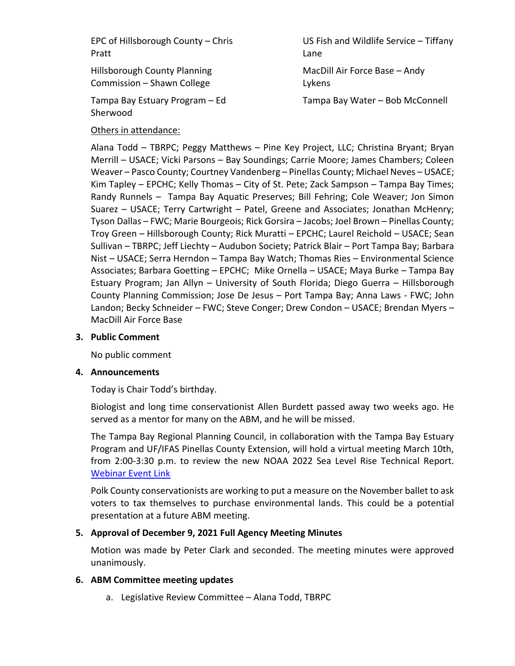EPC of Hillsborough County – Chris Pratt

Hillsborough County Planning Commission – Shawn College

Tampa Bay Estuary Program – Ed Sherwood

US Fish and Wildlife Service – Tiffany Lane

MacDill Air Force Base – Andy Lykens

Tampa Bay Water – Bob McConnell

### Others in attendance:

Alana Todd – TBRPC; Peggy Matthews – Pine Key Project, LLC; Christina Bryant; Bryan Merrill – USACE; Vicki Parsons – Bay Soundings; Carrie Moore; James Chambers; Coleen Weaver – Pasco County; Courtney Vandenberg – Pinellas County; Michael Neves – USACE; Kim Tapley – EPCHC; Kelly Thomas – City of St. Pete; Zack Sampson – Tampa Bay Times; Randy Runnels – Tampa Bay Aquatic Preserves; Bill Fehring; Cole Weaver; Jon Simon Suarez – USACE; Terry Cartwright – Patel, Greene and Associates; Jonathan McHenry; Tyson Dallas – FWC; Marie Bourgeois; Rick Gorsira – Jacobs; Joel Brown – Pinellas County; Troy Green – Hillsborough County; Rick Muratti – EPCHC; Laurel Reichold – USACE; Sean Sullivan – TBRPC; Jeff Liechty – Audubon Society; Patrick Blair – Port Tampa Bay; Barbara Nist – USACE; Serra Herndon – Tampa Bay Watch; Thomas Ries – Environmental Science Associates; Barbara Goetting – EPCHC; Mike Ornella – USACE; Maya Burke – Tampa Bay Estuary Program; Jan Allyn – University of South Florida; Diego Guerra – Hillsborough County Planning Commission; Jose De Jesus – Port Tampa Bay; Anna Laws - FWC; John Landon; Becky Schneider – FWC; Steve Conger; Drew Condon – USACE; Brendan Myers – MacDill Air Force Base

#### **3. Public Comment**

No public comment

#### **4. Announcements**

Today is Chair Todd's birthday.

Biologist and long time conservationist Allen Burdett passed away two weeks ago. He served as a mentor for many on the ABM, and he will be missed.

The Tampa Bay Regional Planning Council, in collaboration with the Tampa Bay Estuary Program and UF/IFAS Pinellas County Extension, will hold a virtual meeting March 10th, from 2:00-3:30 p.m. to review the new NOAA 2022 Sea Level Rise Technical Report. [Webinar Event Link](https://www.tbrpc.org/event/noaa-22/)

Polk County conservationists are working to put a measure on the November ballet to ask voters to tax themselves to purchase environmental lands. This could be a potential presentation at a future ABM meeting.

### **5. Approval of December 9, 2021 Full Agency Meeting Minutes**

Motion was made by Peter Clark and seconded. The meeting minutes were approved unanimously.

### **6. ABM Committee meeting updates**

a. Legislative Review Committee – Alana Todd, TBRPC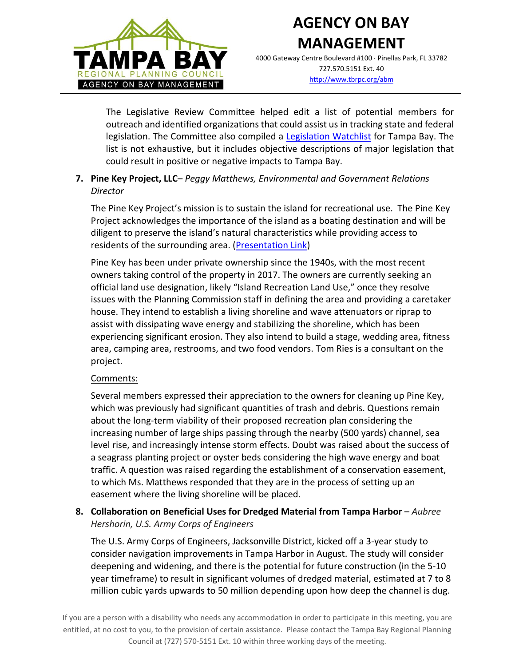

# **AGENCY ON BAY MANAGEMENT**

4000 Gateway Centre Boulevard #100 Pinellas Park, FL 33782 727.570.5151 Ext. 40 <http://www.tbrpc.org/abm>

The Legislative Review Committee helped edit a list of potential members for outreach and identified organizations that could assist us in tracking state and federal legislation. The Committee also compiled a [Legislation Watchlist](https://www.tbrpc.org/wp-content/uploads/2022/01/2022-Legislation-Watchlist.pdf) for Tampa Bay. The list is not exhaustive, but it includes objective descriptions of major legislation that could result in positive or negative impacts to Tampa Bay.

# **7. Pine Key Project, LLC**– *Peggy Matthews, Environmental and Government Relations Director*

The Pine Key Project's mission is to sustain the island for recreational use. The Pine Key Project acknowledges the importance of the island as a boating destination and will be diligent to preserve the island's natural characteristics while providing access to residents of the surrounding area. [\(Presentation Link\)](https://www.tbrpc.org/wp-content/uploads/2022/03/Pine-Key_ABM-Presentation_31022.pdf)

Pine Key has been under private ownership since the 1940s, with the most recent owners taking control of the property in 2017. The owners are currently seeking an official land use designation, likely "Island Recreation Land Use," once they resolve issues with the Planning Commission staff in defining the area and providing a caretaker house. They intend to establish a living shoreline and wave attenuators or riprap to assist with dissipating wave energy and stabilizing the shoreline, which has been experiencing significant erosion. They also intend to build a stage, wedding area, fitness area, camping area, restrooms, and two food vendors. Tom Ries is a consultant on the project.

### Comments:

Several members expressed their appreciation to the owners for cleaning up Pine Key, which was previously had significant quantities of trash and debris. Questions remain about the long-term viability of their proposed recreation plan considering the increasing number of large ships passing through the nearby (500 yards) channel, sea level rise, and increasingly intense storm effects. Doubt was raised about the success of a seagrass planting project or oyster beds considering the high wave energy and boat traffic. A question was raised regarding the establishment of a conservation easement, to which Ms. Matthews responded that they are in the process of setting up an easement where the living shoreline will be placed.

### **8. Collaboration on Beneficial Uses for Dredged Material from Tampa Harbor** – *Aubree Hershorin, U.S. Army Corps of Engineers*

The U.S. Army Corps of Engineers, Jacksonville District, kicked off a 3-year study to consider navigation improvements in Tampa Harbor in August. The study will consider deepening and widening, and there is the potential for future construction (in the 5-10 year timeframe) to result in significant volumes of dredged material, estimated at 7 to 8 million cubic yards upwards to 50 million depending upon how deep the channel is dug.

If you are a person with a disability who needs any accommodation in order to participate in this meeting, you are entitled, at no cost to you, to the provision of certain assistance. Please contact the Tampa Bay Regional Planning Council at (727) 570-5151 Ext. 10 within three working days of the meeting.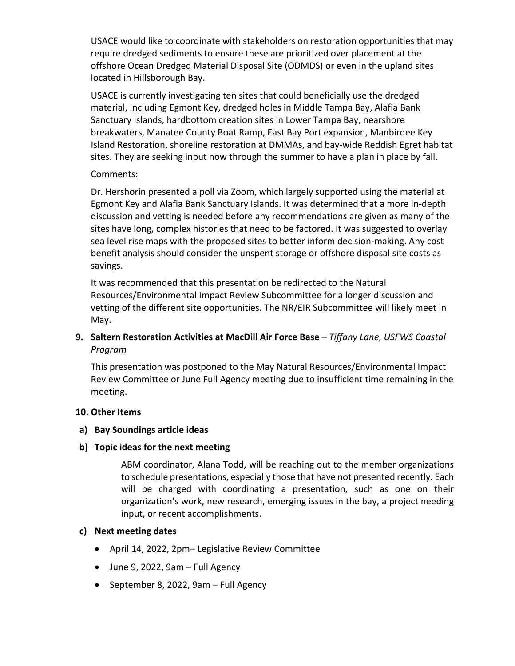USACE would like to coordinate with stakeholders on restoration opportunities that may require dredged sediments to ensure these are prioritized over placement at the offshore Ocean Dredged Material Disposal Site (ODMDS) or even in the upland sites located in Hillsborough Bay.

USACE is currently investigating ten sites that could beneficially use the dredged material, including Egmont Key, dredged holes in Middle Tampa Bay, Alafia Bank Sanctuary Islands, hardbottom creation sites in Lower Tampa Bay, nearshore breakwaters, Manatee County Boat Ramp, East Bay Port expansion, Manbirdee Key Island Restoration, shoreline restoration at DMMAs, and bay-wide Reddish Egret habitat sites. They are seeking input now through the summer to have a plan in place by fall.

#### Comments:

Dr. Hershorin presented a poll via Zoom, which largely supported using the material at Egmont Key and Alafia Bank Sanctuary Islands. It was determined that a more in-depth discussion and vetting is needed before any recommendations are given as many of the sites have long, complex histories that need to be factored. It was suggested to overlay sea level rise maps with the proposed sites to better inform decision-making. Any cost benefit analysis should consider the unspent storage or offshore disposal site costs as savings.

It was recommended that this presentation be redirected to the Natural Resources/Environmental Impact Review Subcommittee for a longer discussion and vetting of the different site opportunities. The NR/EIR Subcommittee will likely meet in May.

## **9. Saltern Restoration Activities at MacDill Air Force Base** – *Tiffany Lane, USFWS Coastal Program*

This presentation was postponed to the May Natural Resources/Environmental Impact Review Committee or June Full Agency meeting due to insufficient time remaining in the meeting.

#### **10. Other Items**

#### **a) Bay Soundings article ideas**

### **b) Topic ideas for the next meeting**

ABM coordinator, Alana Todd, will be reaching out to the member organizations to schedule presentations, especially those that have not presented recently. Each will be charged with coordinating a presentation, such as one on their organization's work, new research, emerging issues in the bay, a project needing input, or recent accomplishments.

### **c) Next meeting dates**

- April 14, 2022, 2pm– Legislative Review Committee
- June 9, 2022, 9am Full Agency
- September 8, 2022, 9am Full Agency